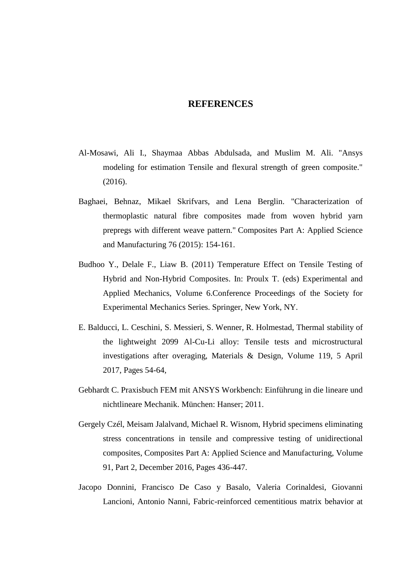## **REFERENCES**

- Al-Mosawi, Ali I., Shaymaa Abbas Abdulsada, and Muslim M. Ali. "Ansys modeling for estimation Tensile and flexural strength of green composite." (2016).
- Baghaei, Behnaz, Mikael Skrifvars, and Lena Berglin. "Characterization of thermoplastic natural fibre composites made from woven hybrid yarn prepregs with different weave pattern." Composites Part A: Applied Science and Manufacturing 76 (2015): 154-161.
- Budhoo Y., Delale F., Liaw B. (2011) Temperature Effect on Tensile Testing of Hybrid and Non-Hybrid Composites. In: Proulx T. (eds) Experimental and Applied Mechanics, Volume 6.Conference Proceedings of the Society for Experimental Mechanics Series. Springer, New York, NY.
- E. Balducci, L. Ceschini, S. Messieri, S. Wenner, R. Holmestad, Thermal stability of the lightweight 2099 Al-Cu-Li alloy: Tensile tests and microstructural investigations after overaging, Materials & Design, Volume 119, 5 April 2017, Pages 54-64,
- Gebhardt C. Praxisbuch FEM mit ANSYS Workbench: Einführung in die lineare und nichtlineare Mechanik. München: Hanser; 2011.
- Gergely Czél, Meisam Jalalvand, Michael R. Wisnom, Hybrid specimens eliminating stress concentrations in tensile and compressive testing of unidirectional composites, Composites Part A: Applied Science and Manufacturing, Volume 91, Part 2, December 2016, Pages 436-447.
- Jacopo Donnini, Francisco De Caso y Basalo, Valeria Corinaldesi, Giovanni Lancioni, Antonio Nanni, Fabric-reinforced cementitious matrix behavior at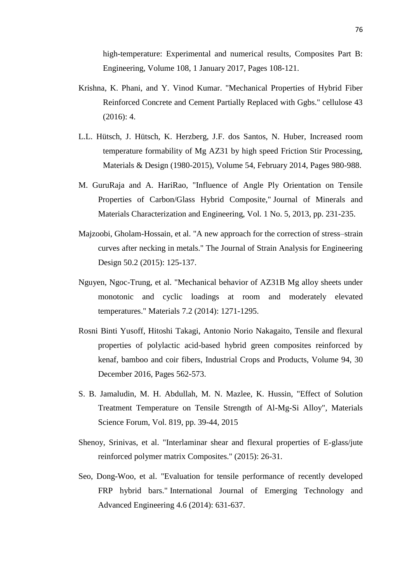high-temperature: Experimental and numerical results, Composites Part B: Engineering, Volume 108, 1 January 2017, Pages 108-121.

- Krishna, K. Phani, and Y. Vinod Kumar. "Mechanical Properties of Hybrid Fiber Reinforced Concrete and Cement Partially Replaced with Ggbs." cellulose 43 (2016): 4.
- L.L. Hütsch, J. Hütsch, K. Herzberg, J.F. dos Santos, N. Huber, Increased room temperature formability of Mg AZ31 by high speed Friction Stir Processing, Materials & Design (1980-2015), Volume 54, February 2014, Pages 980-988.
- M. GuruRaja and A. HariRao, "Influence of Angle Ply Orientation on Tensile Properties of Carbon/Glass Hybrid Composite," Journal of Minerals and Materials Characterization and Engineering, Vol. 1 No. 5, 2013, pp. 231-235.
- Majzoobi, Gholam-Hossain, et al. "A new approach for the correction of stress–strain curves after necking in metals." The Journal of Strain Analysis for Engineering Design 50.2 (2015): 125-137.
- Nguyen, Ngoc-Trung, et al. "Mechanical behavior of AZ31B Mg alloy sheets under monotonic and cyclic loadings at room and moderately elevated temperatures." Materials 7.2 (2014): 1271-1295.
- Rosni Binti Yusoff, Hitoshi Takagi, Antonio Norio Nakagaito, Tensile and flexural properties of polylactic acid-based hybrid green composites reinforced by kenaf, bamboo and coir fibers, Industrial Crops and Products, Volume 94, 30 December 2016, Pages 562-573.
- S. B. Jamaludin, M. H. Abdullah, M. N. Mazlee, K. Hussin, "Effect of Solution Treatment Temperature on Tensile Strength of Al-Mg-Si Alloy", Materials Science Forum, Vol. 819, pp. 39-44, 2015
- Shenoy, Srinivas, et al. "Interlaminar shear and flexural properties of E-glass/jute reinforced polymer matrix Composites." (2015): 26-31.
- Seo, Dong-Woo, et al. "Evaluation for tensile performance of recently developed FRP hybrid bars." International Journal of Emerging Technology and Advanced Engineering 4.6 (2014): 631-637.